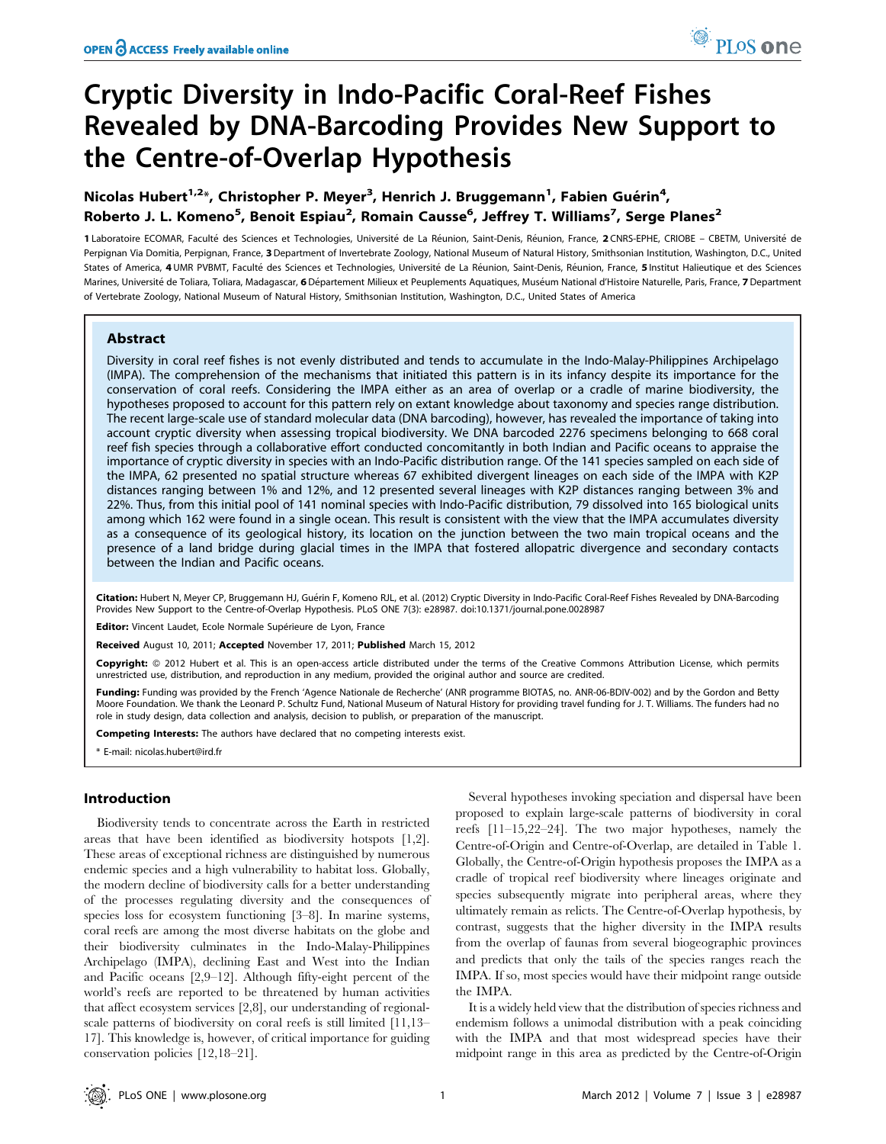# Cryptic Diversity in Indo-Pacific Coral-Reef Fishes Revealed by DNA-Barcoding Provides New Support to the Centre-of-Overlap Hypothesis

Nicolas Hubert<sup>1,2</sup>\*, Christopher P. Meyer<sup>3</sup>, Henrich J. Bruggemann<sup>1</sup>, Fabien Guérin<sup>4</sup>, Roberto J. L. Komeno<sup>5</sup>, Benoit Espiau<sup>2</sup>, Romain Causse<sup>6</sup>, Jeffrey T. Williams<sup>7</sup>, Serge Planes<sup>2</sup>

1 Laboratoire ECOMAR, Faculté des Sciences et Technologies, Université de La Réunion, Saint-Denis, Réunion, France, 2 CNRS-EPHE, CRIOBE – CBETM, Université de Perpignan Via Domitia, Perpignan, France, 3Department of Invertebrate Zoology, National Museum of Natural History, Smithsonian Institution, Washington, D.C., United States of America, 4 UMR PVBMT, Faculté des Sciences et Technologies, Université de La Réunion, Saint-Denis, Réunion, France, 5 Institut Halieutique et des Sciences Marines, Université de Toliara, Toliara, Madagascar, 6 Département Milieux et Peuplements Aquatiques, Muséum National d'Histoire Naturelle, Paris, France, 7 Department of Vertebrate Zoology, National Museum of Natural History, Smithsonian Institution, Washington, D.C., United States of America

## Abstract

Diversity in coral reef fishes is not evenly distributed and tends to accumulate in the Indo-Malay-Philippines Archipelago (IMPA). The comprehension of the mechanisms that initiated this pattern is in its infancy despite its importance for the conservation of coral reefs. Considering the IMPA either as an area of overlap or a cradle of marine biodiversity, the hypotheses proposed to account for this pattern rely on extant knowledge about taxonomy and species range distribution. The recent large-scale use of standard molecular data (DNA barcoding), however, has revealed the importance of taking into account cryptic diversity when assessing tropical biodiversity. We DNA barcoded 2276 specimens belonging to 668 coral reef fish species through a collaborative effort conducted concomitantly in both Indian and Pacific oceans to appraise the importance of cryptic diversity in species with an Indo-Pacific distribution range. Of the 141 species sampled on each side of the IMPA, 62 presented no spatial structure whereas 67 exhibited divergent lineages on each side of the IMPA with K2P distances ranging between 1% and 12%, and 12 presented several lineages with K2P distances ranging between 3% and 22%. Thus, from this initial pool of 141 nominal species with Indo-Pacific distribution, 79 dissolved into 165 biological units among which 162 were found in a single ocean. This result is consistent with the view that the IMPA accumulates diversity as a consequence of its geological history, its location on the junction between the two main tropical oceans and the presence of a land bridge during glacial times in the IMPA that fostered allopatric divergence and secondary contacts between the Indian and Pacific oceans.

Citation: Hubert N, Meyer CP, Bruggemann HJ, Guérin F, Komeno RJL, et al. (2012) Cryptic Diversity in Indo-Pacific Coral-Reef Fishes Revealed by DNA-Barcoding Provides New Support to the Centre-of-Overlap Hypothesis. PLoS ONE 7(3): e28987. doi:10.1371/journal.pone.0028987

Editor: Vincent Laudet, Ecole Normale Supérieure de Lyon, France

Received August 10, 2011; Accepted November 17, 2011; Published March 15, 2012

Copyright: © 2012 Hubert et al. This is an open-access article distributed under the terms of the Creative Commons Attribution License, which permits unrestricted use, distribution, and reproduction in any medium, provided the original author and source are credited.

Funding: Funding was provided by the French 'Agence Nationale de Recherche' (ANR programme BIOTAS, no. ANR-06-BDIV-002) and by the Gordon and Betty Moore Foundation. We thank the Leonard P. Schultz Fund, National Museum of Natural History for providing travel funding for J. T. Williams. The funders had no role in study design, data collection and analysis, decision to publish, or preparation of the manuscript.

Competing Interests: The authors have declared that no competing interests exist.

\* E-mail: nicolas.hubert@ird.fr

## Introduction

Biodiversity tends to concentrate across the Earth in restricted areas that have been identified as biodiversity hotspots [1,2]. These areas of exceptional richness are distinguished by numerous endemic species and a high vulnerability to habitat loss. Globally, the modern decline of biodiversity calls for a better understanding of the processes regulating diversity and the consequences of species loss for ecosystem functioning [3–8]. In marine systems, coral reefs are among the most diverse habitats on the globe and their biodiversity culminates in the Indo-Malay-Philippines Archipelago (IMPA), declining East and West into the Indian and Pacific oceans [2,9–12]. Although fifty-eight percent of the world's reefs are reported to be threatened by human activities that affect ecosystem services [2,8], our understanding of regionalscale patterns of biodiversity on coral reefs is still limited [11,13– 17]. This knowledge is, however, of critical importance for guiding conservation policies [12,18–21].

Several hypotheses invoking speciation and dispersal have been proposed to explain large-scale patterns of biodiversity in coral reefs [11–15,22–24]. The two major hypotheses, namely the Centre-of-Origin and Centre-of-Overlap, are detailed in Table 1. Globally, the Centre-of-Origin hypothesis proposes the IMPA as a cradle of tropical reef biodiversity where lineages originate and species subsequently migrate into peripheral areas, where they ultimately remain as relicts. The Centre-of-Overlap hypothesis, by contrast, suggests that the higher diversity in the IMPA results from the overlap of faunas from several biogeographic provinces and predicts that only the tails of the species ranges reach the IMPA. If so, most species would have their midpoint range outside the IMPA.

It is a widely held view that the distribution of species richness and endemism follows a unimodal distribution with a peak coinciding with the IMPA and that most widespread species have their midpoint range in this area as predicted by the Centre-of-Origin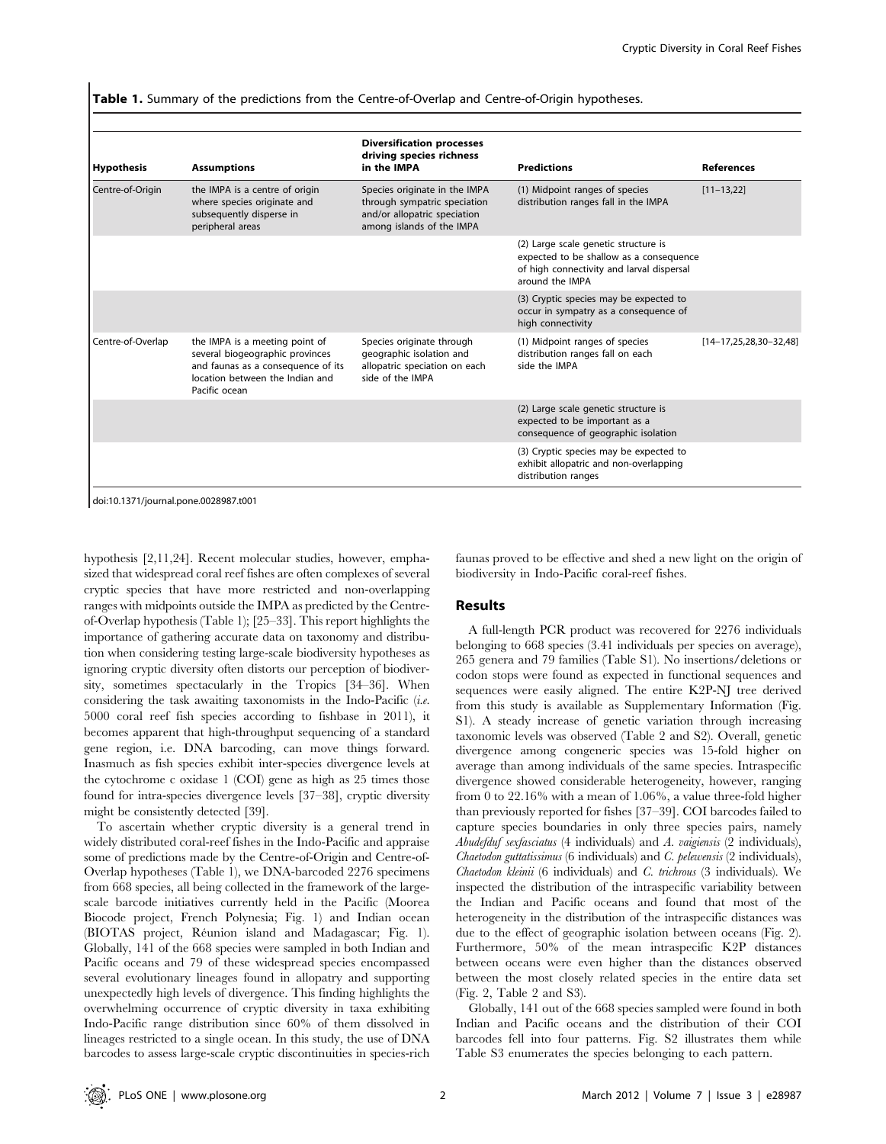Table 1. Summary of the predictions from the Centre-of-Overlap and Centre-of-Origin hypotheses.

| <b>Hypothesis</b> | <b>Assumptions</b>                                                                                                                                          | <b>Diversification processes</b><br>driving species richness<br>in the IMPA                                                | <b>Predictions</b>                                                                                                                              | <b>References</b>                |  |
|-------------------|-------------------------------------------------------------------------------------------------------------------------------------------------------------|----------------------------------------------------------------------------------------------------------------------------|-------------------------------------------------------------------------------------------------------------------------------------------------|----------------------------------|--|
| Centre-of-Origin  | the IMPA is a centre of origin<br>where species originate and<br>subsequently disperse in<br>peripheral areas                                               | Species originate in the IMPA<br>through sympatric speciation<br>and/or allopatric speciation<br>among islands of the IMPA | (1) Midpoint ranges of species<br>distribution ranges fall in the IMPA                                                                          | $[11 - 13, 22]$                  |  |
|                   |                                                                                                                                                             |                                                                                                                            | (2) Large scale genetic structure is<br>expected to be shallow as a consequence<br>of high connectivity and larval dispersal<br>around the IMPA |                                  |  |
|                   |                                                                                                                                                             |                                                                                                                            | (3) Cryptic species may be expected to<br>occur in sympatry as a consequence of<br>high connectivity                                            |                                  |  |
| Centre-of-Overlap | the IMPA is a meeting point of<br>several biogeographic provinces<br>and faunas as a consequence of its<br>location between the Indian and<br>Pacific ocean | Species originate through<br>geographic isolation and<br>allopatric speciation on each<br>side of the IMPA                 | (1) Midpoint ranges of species<br>distribution ranges fall on each<br>side the IMPA                                                             | $[14 - 17, 25, 28, 30 - 32, 48]$ |  |
|                   |                                                                                                                                                             |                                                                                                                            | (2) Large scale genetic structure is<br>expected to be important as a<br>consequence of geographic isolation                                    |                                  |  |
|                   |                                                                                                                                                             |                                                                                                                            | (3) Cryptic species may be expected to<br>exhibit allopatric and non-overlapping<br>distribution ranges                                         |                                  |  |

hypothesis [2,11,24]. Recent molecular studies, however, emphasized that widespread coral reef fishes are often complexes of several cryptic species that have more restricted and non-overlapping ranges with midpoints outside the IMPA as predicted by the Centreof-Overlap hypothesis (Table 1); [25–33]. This report highlights the importance of gathering accurate data on taxonomy and distribution when considering testing large-scale biodiversity hypotheses as ignoring cryptic diversity often distorts our perception of biodiversity, sometimes spectacularly in the Tropics [34–36]. When considering the task awaiting taxonomists in the Indo-Pacific (i.e. 5000 coral reef fish species according to fishbase in 2011), it becomes apparent that high-throughput sequencing of a standard gene region, i.e. DNA barcoding, can move things forward. Inasmuch as fish species exhibit inter-species divergence levels at the cytochrome c oxidase 1 (COI) gene as high as 25 times those found for intra-species divergence levels [37–38], cryptic diversity might be consistently detected [39].

To ascertain whether cryptic diversity is a general trend in widely distributed coral-reef fishes in the Indo-Pacific and appraise some of predictions made by the Centre-of-Origin and Centre-of-Overlap hypotheses (Table 1), we DNA-barcoded 2276 specimens from 668 species, all being collected in the framework of the largescale barcode initiatives currently held in the Pacific (Moorea Biocode project, French Polynesia; Fig. 1) and Indian ocean (BIOTAS project, Réunion island and Madagascar; Fig. 1). Globally, 141 of the 668 species were sampled in both Indian and Pacific oceans and 79 of these widespread species encompassed several evolutionary lineages found in allopatry and supporting unexpectedly high levels of divergence. This finding highlights the overwhelming occurrence of cryptic diversity in taxa exhibiting Indo-Pacific range distribution since 60% of them dissolved in lineages restricted to a single ocean. In this study, the use of DNA barcodes to assess large-scale cryptic discontinuities in species-rich faunas proved to be effective and shed a new light on the origin of biodiversity in Indo-Pacific coral-reef fishes.

## Results

A full-length PCR product was recovered for 2276 individuals belonging to 668 species (3.41 individuals per species on average), 265 genera and 79 families (Table S1). No insertions/deletions or codon stops were found as expected in functional sequences and sequences were easily aligned. The entire K2P-NJ tree derived from this study is available as Supplementary Information (Fig. S1). A steady increase of genetic variation through increasing taxonomic levels was observed (Table 2 and S2). Overall, genetic divergence among congeneric species was 15-fold higher on average than among individuals of the same species. Intraspecific divergence showed considerable heterogeneity, however, ranging from 0 to 22.16% with a mean of 1.06%, a value three-fold higher than previously reported for fishes [37–39]. COI barcodes failed to capture species boundaries in only three species pairs, namely Abudefduf sexfasciatus (4 individuals) and A. vaigiensis (2 individuals), Chaetodon guttatissimus (6 individuals) and C. pelewensis (2 individuals), Chaetodon kleinii (6 individuals) and C. trichrous (3 individuals). We inspected the distribution of the intraspecific variability between the Indian and Pacific oceans and found that most of the heterogeneity in the distribution of the intraspecific distances was due to the effect of geographic isolation between oceans (Fig. 2). Furthermore, 50% of the mean intraspecific K2P distances between oceans were even higher than the distances observed between the most closely related species in the entire data set (Fig. 2, Table 2 and S3).

Globally, 141 out of the 668 species sampled were found in both Indian and Pacific oceans and the distribution of their COI barcodes fell into four patterns. Fig. S2 illustrates them while Table S3 enumerates the species belonging to each pattern.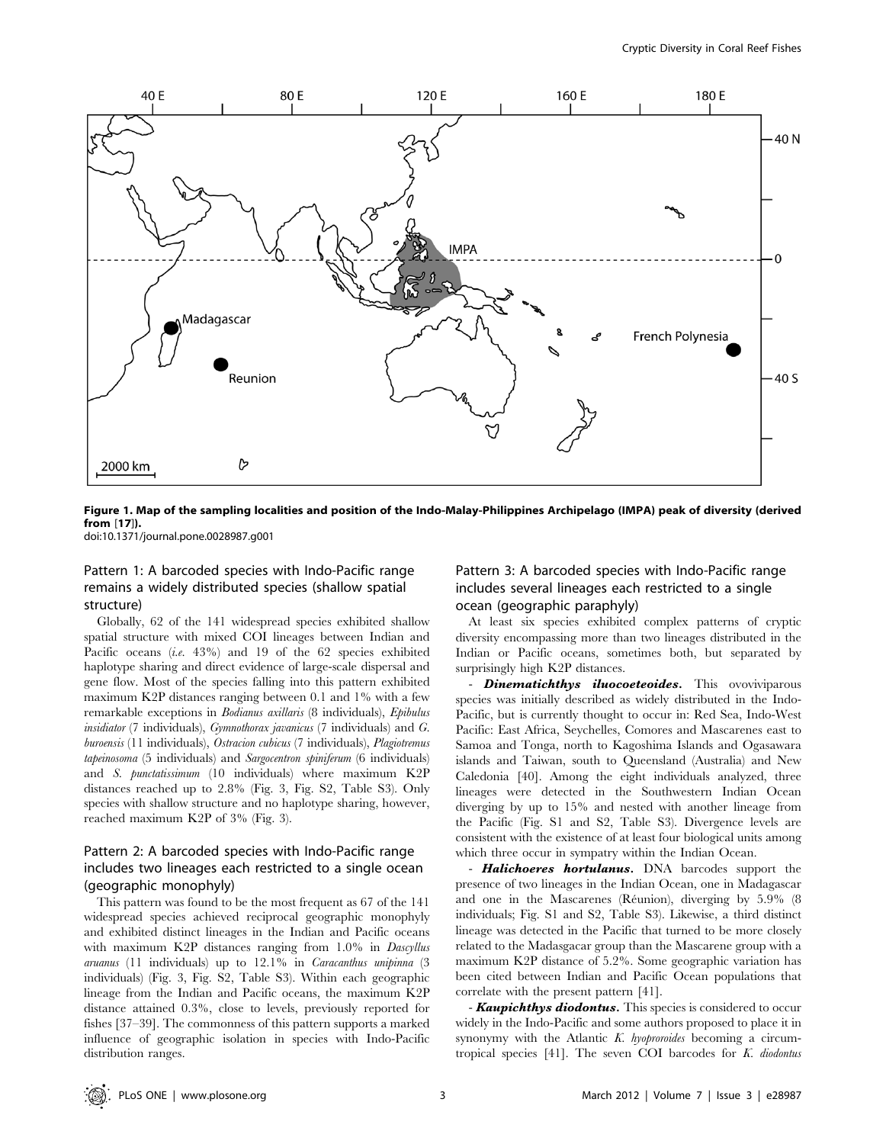

## Figure 1. Map of the sampling localities and position of the Indo-Malay-Philippines Archipelago (IMPA) peak of diversity (derived from [17]).

doi:10.1371/journal.pone.0028987.g001

# Pattern 1: A barcoded species with Indo-Pacific range remains a widely distributed species (shallow spatial structure)

Globally, 62 of the 141 widespread species exhibited shallow spatial structure with mixed COI lineages between Indian and Pacific oceans (i.e. 43%) and 19 of the 62 species exhibited haplotype sharing and direct evidence of large-scale dispersal and gene flow. Most of the species falling into this pattern exhibited maximum K2P distances ranging between 0.1 and 1% with a few remarkable exceptions in Bodianus axillaris (8 individuals), Epibulus insidiator (7 individuals), Gymnothorax javanicus (7 individuals) and G. buroensis (11 individuals), Ostracion cubicus (7 individuals), Plagiotremus tapeinosoma (5 individuals) and Sargocentron spiniferum (6 individuals) and S. punctatissimum (10 individuals) where maximum K2P distances reached up to 2.8% (Fig. 3, Fig. S2, Table S3). Only species with shallow structure and no haplotype sharing, however, reached maximum K2P of 3% (Fig. 3).

# Pattern 2: A barcoded species with Indo-Pacific range includes two lineages each restricted to a single ocean (geographic monophyly)

This pattern was found to be the most frequent as 67 of the 141 widespread species achieved reciprocal geographic monophyly and exhibited distinct lineages in the Indian and Pacific oceans with maximum K2P distances ranging from 1.0% in *Dascyllus* aruanus (11 individuals) up to 12.1% in Caracanthus unipinna (3 individuals) (Fig. 3, Fig. S2, Table S3). Within each geographic lineage from the Indian and Pacific oceans, the maximum K2P distance attained 0.3%, close to levels, previously reported for fishes [37–39]. The commonness of this pattern supports a marked influence of geographic isolation in species with Indo-Pacific distribution ranges.

# Pattern 3: A barcoded species with Indo-Pacific range includes several lineages each restricted to a single ocean (geographic paraphyly)

At least six species exhibited complex patterns of cryptic diversity encompassing more than two lineages distributed in the Indian or Pacific oceans, sometimes both, but separated by surprisingly high K2P distances.

- **Dinematichthys iluocoeteoides.** This ovoviviparous species was initially described as widely distributed in the Indo-Pacific, but is currently thought to occur in: Red Sea, Indo-West Pacific: East Africa, Seychelles, Comores and Mascarenes east to Samoa and Tonga, north to Kagoshima Islands and Ogasawara islands and Taiwan, south to Queensland (Australia) and New Caledonia [40]. Among the eight individuals analyzed, three lineages were detected in the Southwestern Indian Ocean diverging by up to 15% and nested with another lineage from the Pacific (Fig. S1 and S2, Table S3). Divergence levels are consistent with the existence of at least four biological units among which three occur in sympatry within the Indian Ocean.

- Halichoeres hortulanus. DNA barcodes support the presence of two lineages in the Indian Ocean, one in Madagascar and one in the Mascarenes (Réunion), diverging by  $5.9\%$  (8) individuals; Fig. S1 and S2, Table S3). Likewise, a third distinct lineage was detected in the Pacific that turned to be more closely related to the Madasgacar group than the Mascarene group with a maximum K2P distance of 5.2%. Some geographic variation has been cited between Indian and Pacific Ocean populations that correlate with the present pattern [41].

- **Kaupichthys diodontus.** This species is considered to occur widely in the Indo-Pacific and some authors proposed to place it in synonymy with the Atlantic K. hyoproroides becoming a circumtropical species  $[41]$ . The seven COI barcodes for K. diodontus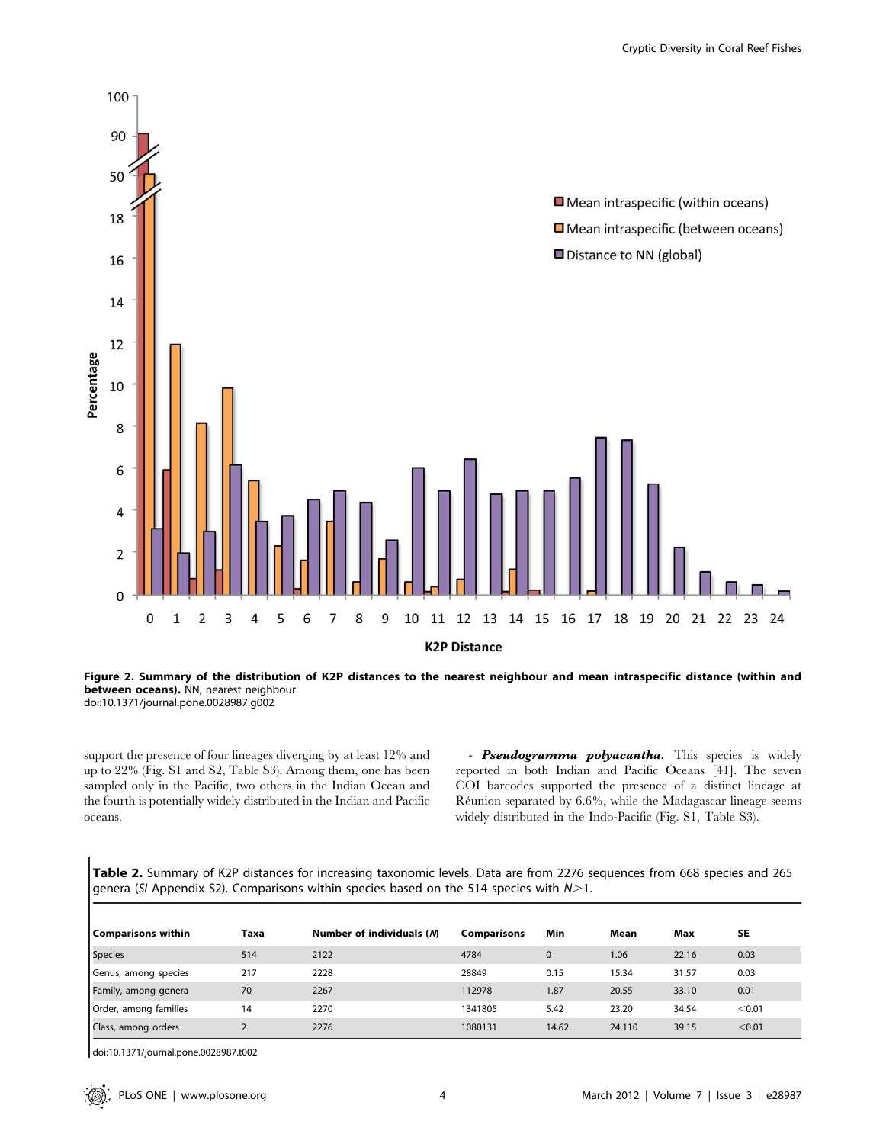



support the presence of four lineages diverging by at least 12% and up to 22% (Fig. S1 and S2, Table S3). Among them, one has been sampled only in the Pacific, two others in the Indian Ocean and the fourth is potentially widely distributed in the Indian and Pacific oceans.

- Pseudogramma polyacantha. This species is widely reported in both Indian and Pacific Oceans [41]. The seven COI barcodes supported the presence of a distinct lineage at Réunion separated by 6.6%, while the Madagascar lineage seems widely distributed in the Indo-Pacific (Fig. S1, Table S3).

Table 2. Summary of K2P distances for increasing taxonomic levels. Data are from 2276 sequences from 668 species and 265 genera (SI Appendix S2). Comparisons within species based on the 514 species with  $N>1$ .

| Comparisons within    | Taxa | Number of individuals (M) | <b>Comparisons</b> | Min         | Mean   | Max   | <b>SE</b> |
|-----------------------|------|---------------------------|--------------------|-------------|--------|-------|-----------|
| <b>Species</b>        | 514  | 2122                      | 4784               | $\mathbf 0$ | 1.06   | 22.16 | 0.03      |
| Genus, among species  | 217  | 2228                      | 28849              | 0.15        | 15.34  | 31.57 | 0.03      |
| Family, among genera  | 70   | 2267                      | 112978             | 1.87        | 20.55  | 33.10 | 0.01      |
| Order, among families | 14   | 2270                      | 1341805            | 5.42        | 23.20  | 34.54 | < 0.01    |
| Class, among orders   |      | 2276                      | 1080131            | 14.62       | 24.110 | 39.15 | < 0.01    |

doi:10.1371/journal.pone.0028987.t002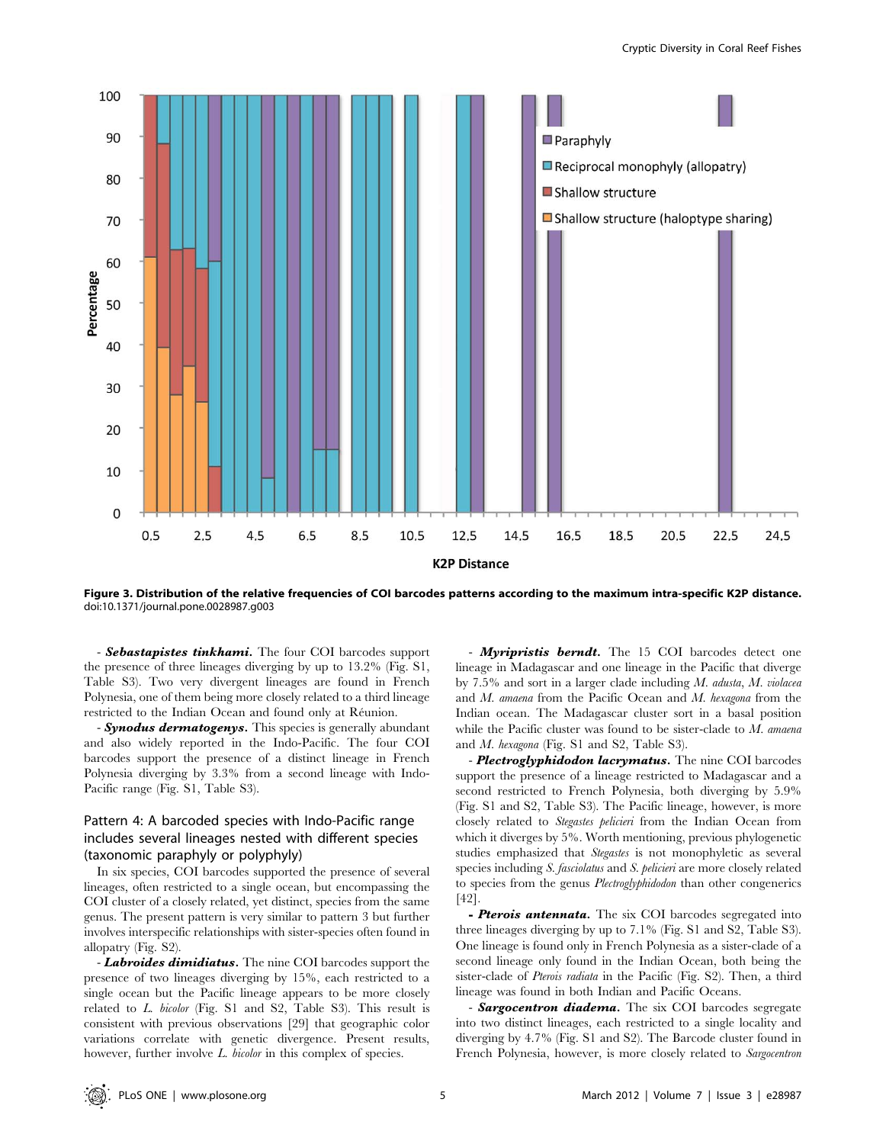

Figure 3. Distribution of the relative frequencies of COI barcodes patterns according to the maximum intra-specific K2P distance. doi:10.1371/journal.pone.0028987.g003

- Sebastapistes tinkhami. The four COI barcodes support the presence of three lineages diverging by up to 13.2% (Fig. S1, Table S3). Two very divergent lineages are found in French Polynesia, one of them being more closely related to a third lineage restricted to the Indian Ocean and found only at Réunion.

- **Synodus dermatogenys.** This species is generally abundant and also widely reported in the Indo-Pacific. The four COI barcodes support the presence of a distinct lineage in French Polynesia diverging by 3.3% from a second lineage with Indo-Pacific range (Fig. S1, Table S3).

# Pattern 4: A barcoded species with Indo-Pacific range includes several lineages nested with different species (taxonomic paraphyly or polyphyly)

In six species, COI barcodes supported the presence of several lineages, often restricted to a single ocean, but encompassing the COI cluster of a closely related, yet distinct, species from the same genus. The present pattern is very similar to pattern 3 but further involves interspecific relationships with sister-species often found in allopatry (Fig. S2).

- Labroides dimidiatus. The nine COI barcodes support the presence of two lineages diverging by 15%, each restricted to a single ocean but the Pacific lineage appears to be more closely related to L. bicolor (Fig. S1 and S2, Table S3). This result is consistent with previous observations [29] that geographic color variations correlate with genetic divergence. Present results, however, further involve L. bicolor in this complex of species.

- *Myripristis berndt*. The  $15$  COI barcodes detect one lineage in Madagascar and one lineage in the Pacific that diverge by 7.5% and sort in a larger clade including M. adusta, M. violacea and M. amaena from the Pacific Ocean and M. hexagona from the Indian ocean. The Madagascar cluster sort in a basal position while the Pacific cluster was found to be sister-clade to M. amaena and M. hexagona (Fig. S1 and S2, Table S3).

- Plectroglyphidodon lacrymatus. The nine COI barcodes support the presence of a lineage restricted to Madagascar and a second restricted to French Polynesia, both diverging by 5.9% (Fig. S1 and S2, Table S3). The Pacific lineage, however, is more closely related to Stegastes pelicieri from the Indian Ocean from which it diverges by 5%. Worth mentioning, previous phylogenetic studies emphasized that Stegastes is not monophyletic as several species including S. fasciolatus and S. pelicieri are more closely related to species from the genus Plectroglyphidodon than other congenerics [42].

- Pterois antennata. The six COI barcodes segregated into three lineages diverging by up to 7.1% (Fig. S1 and S2, Table S3). One lineage is found only in French Polynesia as a sister-clade of a second lineage only found in the Indian Ocean, both being the sister-clade of *Pterois radiata* in the Pacific (Fig. S2). Then, a third lineage was found in both Indian and Pacific Oceans.

- Sargocentron diadema. The six COI barcodes segregate into two distinct lineages, each restricted to a single locality and diverging by 4.7% (Fig. S1 and S2). The Barcode cluster found in French Polynesia, however, is more closely related to Sargocentron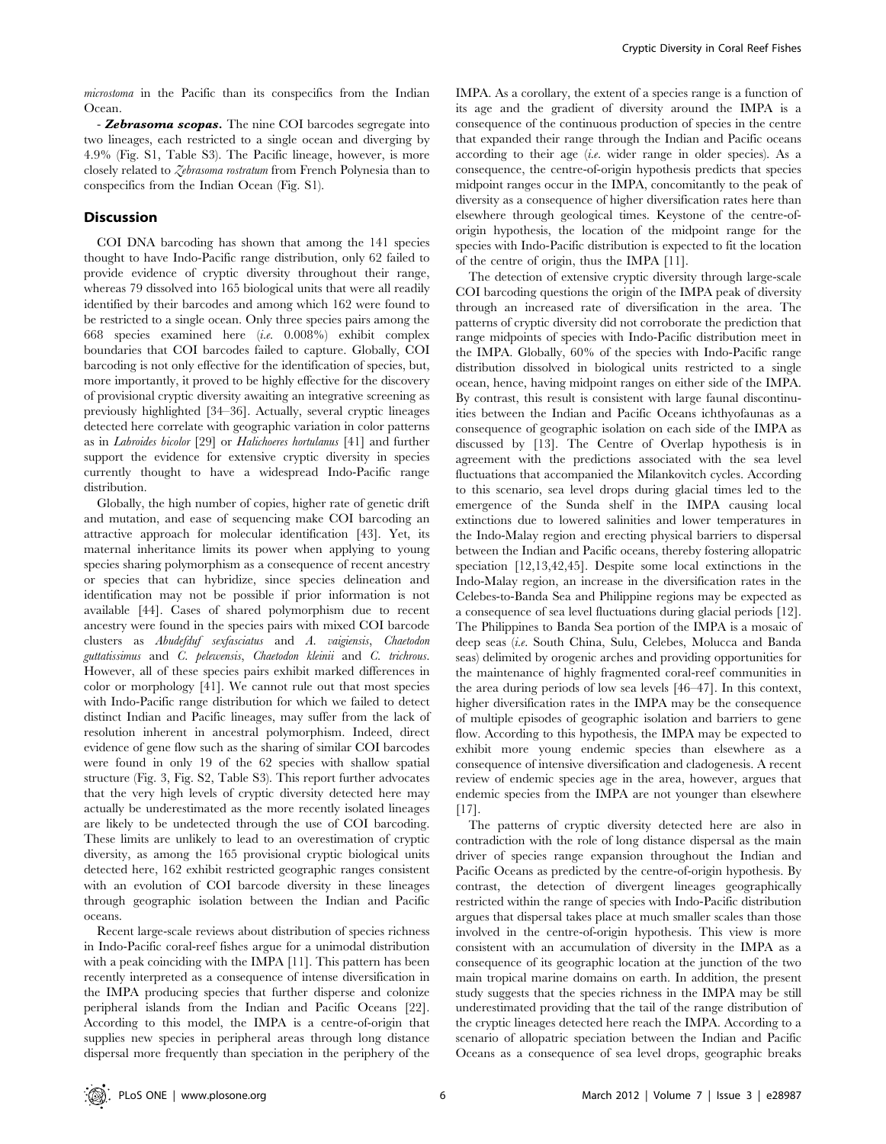microstoma in the Pacific than its conspecifics from the Indian Ocean.

- Zebrasoma scopas. The nine COI barcodes segregate into two lineages, each restricted to a single ocean and diverging by 4.9% (Fig. S1, Table S3). The Pacific lineage, however, is more closely related to Zebrasoma rostratum from French Polynesia than to conspecifics from the Indian Ocean (Fig. S1).

#### **Discussion**

COI DNA barcoding has shown that among the 141 species thought to have Indo-Pacific range distribution, only 62 failed to provide evidence of cryptic diversity throughout their range, whereas 79 dissolved into 165 biological units that were all readily identified by their barcodes and among which 162 were found to be restricted to a single ocean. Only three species pairs among the 668 species examined here (i.e. 0.008%) exhibit complex boundaries that COI barcodes failed to capture. Globally, COI barcoding is not only effective for the identification of species, but, more importantly, it proved to be highly effective for the discovery of provisional cryptic diversity awaiting an integrative screening as previously highlighted [34–36]. Actually, several cryptic lineages detected here correlate with geographic variation in color patterns as in Labroides bicolor [29] or Halichoeres hortulanus [41] and further support the evidence for extensive cryptic diversity in species currently thought to have a widespread Indo-Pacific range distribution.

Globally, the high number of copies, higher rate of genetic drift and mutation, and ease of sequencing make COI barcoding an attractive approach for molecular identification [43]. Yet, its maternal inheritance limits its power when applying to young species sharing polymorphism as a consequence of recent ancestry or species that can hybridize, since species delineation and identification may not be possible if prior information is not available [44]. Cases of shared polymorphism due to recent ancestry were found in the species pairs with mixed COI barcode clusters as Abudefduf sexfasciatus and A. vaigiensis, Chaetodon guttatissimus and C. pelewensis, Chaetodon kleinii and C. trichrous. However, all of these species pairs exhibit marked differences in color or morphology [41]. We cannot rule out that most species with Indo-Pacific range distribution for which we failed to detect distinct Indian and Pacific lineages, may suffer from the lack of resolution inherent in ancestral polymorphism. Indeed, direct evidence of gene flow such as the sharing of similar COI barcodes were found in only 19 of the 62 species with shallow spatial structure (Fig. 3, Fig. S2, Table S3). This report further advocates that the very high levels of cryptic diversity detected here may actually be underestimated as the more recently isolated lineages are likely to be undetected through the use of COI barcoding. These limits are unlikely to lead to an overestimation of cryptic diversity, as among the 165 provisional cryptic biological units detected here, 162 exhibit restricted geographic ranges consistent with an evolution of COI barcode diversity in these lineages through geographic isolation between the Indian and Pacific oceans.

Recent large-scale reviews about distribution of species richness in Indo-Pacific coral-reef fishes argue for a unimodal distribution with a peak coinciding with the IMPA [11]. This pattern has been recently interpreted as a consequence of intense diversification in the IMPA producing species that further disperse and colonize peripheral islands from the Indian and Pacific Oceans [22]. According to this model, the IMPA is a centre-of-origin that supplies new species in peripheral areas through long distance dispersal more frequently than speciation in the periphery of the

IMPA. As a corollary, the extent of a species range is a function of its age and the gradient of diversity around the IMPA is a consequence of the continuous production of species in the centre that expanded their range through the Indian and Pacific oceans according to their age (i.e. wider range in older species). As a consequence, the centre-of-origin hypothesis predicts that species midpoint ranges occur in the IMPA, concomitantly to the peak of diversity as a consequence of higher diversification rates here than elsewhere through geological times. Keystone of the centre-oforigin hypothesis, the location of the midpoint range for the species with Indo-Pacific distribution is expected to fit the location of the centre of origin, thus the IMPA [11].

The detection of extensive cryptic diversity through large-scale COI barcoding questions the origin of the IMPA peak of diversity through an increased rate of diversification in the area. The patterns of cryptic diversity did not corroborate the prediction that range midpoints of species with Indo-Pacific distribution meet in the IMPA. Globally, 60% of the species with Indo-Pacific range distribution dissolved in biological units restricted to a single ocean, hence, having midpoint ranges on either side of the IMPA. By contrast, this result is consistent with large faunal discontinuities between the Indian and Pacific Oceans ichthyofaunas as a consequence of geographic isolation on each side of the IMPA as discussed by [13]. The Centre of Overlap hypothesis is in agreement with the predictions associated with the sea level fluctuations that accompanied the Milankovitch cycles. According to this scenario, sea level drops during glacial times led to the emergence of the Sunda shelf in the IMPA causing local extinctions due to lowered salinities and lower temperatures in the Indo-Malay region and erecting physical barriers to dispersal between the Indian and Pacific oceans, thereby fostering allopatric speciation [12,13,42,45]. Despite some local extinctions in the Indo-Malay region, an increase in the diversification rates in the Celebes-to-Banda Sea and Philippine regions may be expected as a consequence of sea level fluctuations during glacial periods [12]. The Philippines to Banda Sea portion of the IMPA is a mosaic of deep seas (i.e. South China, Sulu, Celebes, Molucca and Banda seas) delimited by orogenic arches and providing opportunities for the maintenance of highly fragmented coral-reef communities in the area during periods of low sea levels [46–47]. In this context, higher diversification rates in the IMPA may be the consequence of multiple episodes of geographic isolation and barriers to gene flow. According to this hypothesis, the IMPA may be expected to exhibit more young endemic species than elsewhere as a consequence of intensive diversification and cladogenesis. A recent review of endemic species age in the area, however, argues that endemic species from the IMPA are not younger than elsewhere [17].

The patterns of cryptic diversity detected here are also in contradiction with the role of long distance dispersal as the main driver of species range expansion throughout the Indian and Pacific Oceans as predicted by the centre-of-origin hypothesis. By contrast, the detection of divergent lineages geographically restricted within the range of species with Indo-Pacific distribution argues that dispersal takes place at much smaller scales than those involved in the centre-of-origin hypothesis. This view is more consistent with an accumulation of diversity in the IMPA as a consequence of its geographic location at the junction of the two main tropical marine domains on earth. In addition, the present study suggests that the species richness in the IMPA may be still underestimated providing that the tail of the range distribution of the cryptic lineages detected here reach the IMPA. According to a scenario of allopatric speciation between the Indian and Pacific Oceans as a consequence of sea level drops, geographic breaks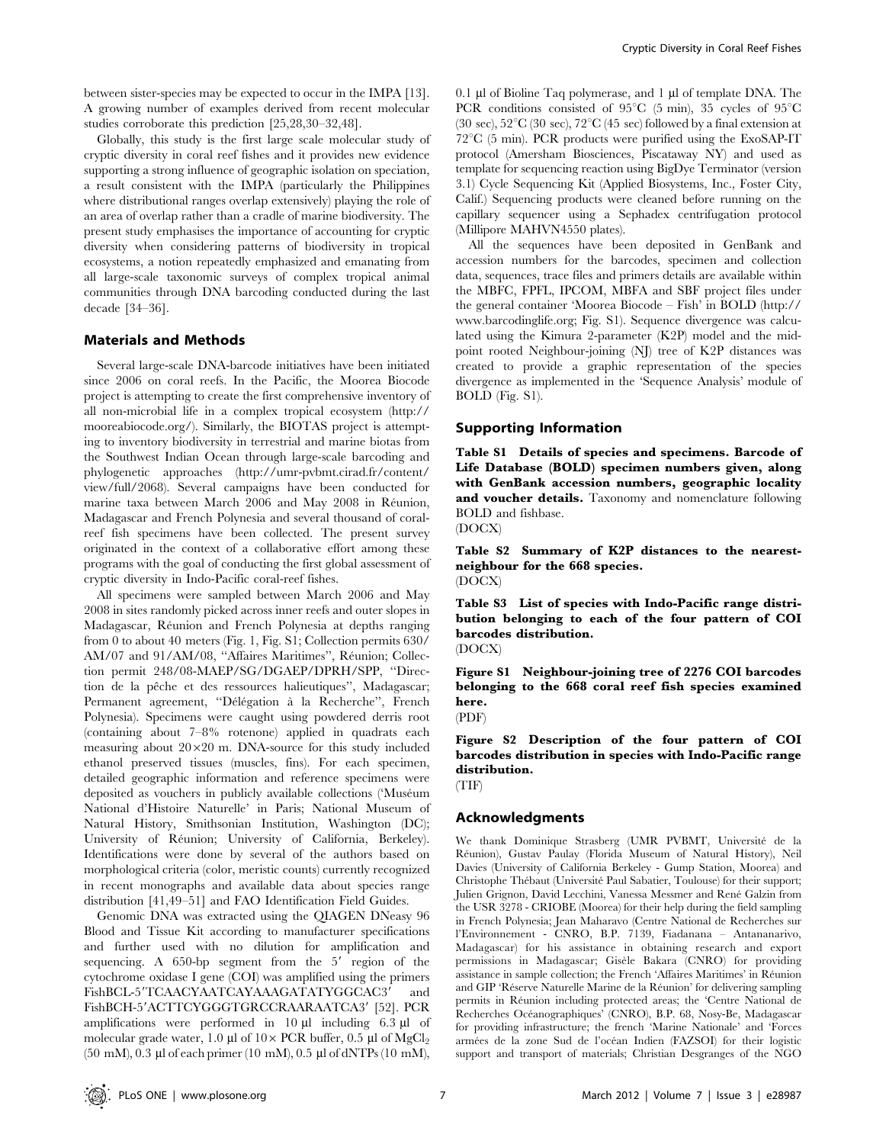between sister-species may be expected to occur in the IMPA [13]. A growing number of examples derived from recent molecular studies corroborate this prediction [25,28,30–32,48].

Globally, this study is the first large scale molecular study of cryptic diversity in coral reef fishes and it provides new evidence supporting a strong influence of geographic isolation on speciation, a result consistent with the IMPA (particularly the Philippines where distributional ranges overlap extensively) playing the role of an area of overlap rather than a cradle of marine biodiversity. The present study emphasises the importance of accounting for cryptic diversity when considering patterns of biodiversity in tropical ecosystems, a notion repeatedly emphasized and emanating from all large-scale taxonomic surveys of complex tropical animal communities through DNA barcoding conducted during the last decade [34–36].

## Materials and Methods

Several large-scale DNA-barcode initiatives have been initiated since 2006 on coral reefs. In the Pacific, the Moorea Biocode project is attempting to create the first comprehensive inventory of all non-microbial life in a complex tropical ecosystem (http:// mooreabiocode.org/). Similarly, the BIOTAS project is attempting to inventory biodiversity in terrestrial and marine biotas from the Southwest Indian Ocean through large-scale barcoding and phylogenetic approaches (http://umr-pvbmt.cirad.fr/content/ view/full/2068). Several campaigns have been conducted for marine taxa between March 2006 and May 2008 in Réunion, Madagascar and French Polynesia and several thousand of coralreef fish specimens have been collected. The present survey originated in the context of a collaborative effort among these programs with the goal of conducting the first global assessment of cryptic diversity in Indo-Pacific coral-reef fishes.

All specimens were sampled between March 2006 and May 2008 in sites randomly picked across inner reefs and outer slopes in Madagascar, Réunion and French Polynesia at depths ranging from 0 to about 40 meters (Fig. 1, Fig. S1; Collection permits 630/ AM/07 and 91/AM/08, "Affaires Maritimes", Réunion; Collection permit 248/08-MAEP/SG/DGAEP/DPRH/SPP, ''Direction de la pêche et des ressources halieutiques", Madagascar; Permanent agreement, "Délégation à la Recherche", French Polynesia). Specimens were caught using powdered derris root (containing about 7–8% rotenone) applied in quadrats each measuring about  $20 \times 20$  m. DNA-source for this study included ethanol preserved tissues (muscles, fins). For each specimen, detailed geographic information and reference specimens were deposited as vouchers in publicly available collections ('Muséum National d'Histoire Naturelle' in Paris; National Museum of Natural History, Smithsonian Institution, Washington (DC); University of Réunion; University of California, Berkeley). Identifications were done by several of the authors based on morphological criteria (color, meristic counts) currently recognized in recent monographs and available data about species range distribution [41,49–51] and FAO Identification Field Guides.

Genomic DNA was extracted using the QIAGEN DNeasy 96 Blood and Tissue Kit according to manufacturer specifications and further used with no dilution for amplification and sequencing. A 650-bp segment from the 5' region of the cytochrome oxidase I gene (COI) was amplified using the primers FishBCL-5'TCAACYAATCAYAAAGATATYGGCAC3' and FishBCH-5'ACTTCYGGGTGRCCRAARAATCA3' [52]. PCR amplifications were performed in  $10 \mu l$  including  $6.3 \mu l$  of molecular grade water, 1.0 µl of  $10 \times PCR$  buffer, 0.5 µl of MgCl<sub>2</sub>  $(50 \text{ mM})$ , 0.3 µl of each primer (10 mM), 0.5 µl of dNTPs (10 mM),

 $0.1$  µl of Bioline Taq polymerase, and 1 µl of template DNA. The PCR conditions consisted of 95 $\degree$ C (5 min), 35 cycles of 95 $\degree$ C (30 sec),  $52^{\circ}$ C (30 sec),  $72^{\circ}$ C (45 sec) followed by a final extension at  $72^{\circ}$ C (5 min). PCR products were purified using the ExoSAP-IT protocol (Amersham Biosciences, Piscataway NY) and used as template for sequencing reaction using BigDye Terminator (version 3.1) Cycle Sequencing Kit (Applied Biosystems, Inc., Foster City, Calif.) Sequencing products were cleaned before running on the capillary sequencer using a Sephadex centrifugation protocol (Millipore MAHVN4550 plates).

All the sequences have been deposited in GenBank and accession numbers for the barcodes, specimen and collection data, sequences, trace files and primers details are available within the MBFC, FPFL, IPCOM, MBFA and SBF project files under the general container 'Moorea Biocode – Fish' in BOLD (http:// www.barcodinglife.org; Fig. S1). Sequence divergence was calculated using the Kimura 2-parameter (K2P) model and the midpoint rooted Neighbour-joining (NJ) tree of K2P distances was created to provide a graphic representation of the species divergence as implemented in the 'Sequence Analysis' module of BOLD (Fig. S1).

### Supporting Information

Table S1 Details of species and specimens. Barcode of Life Database (BOLD) specimen numbers given, along with GenBank accession numbers, geographic locality and voucher details. Taxonomy and nomenclature following BOLD and fishbase.

(DOCX)

Table S2 Summary of K2P distances to the nearestneighbour for the 668 species. (DOCX)

Table S3 List of species with Indo-Pacific range distribution belonging to each of the four pattern of COI barcodes distribution.

(DOCX)

Figure S1 Neighbour-joining tree of 2276 COI barcodes belonging to the 668 coral reef fish species examined here.

(PDF)

Figure S2 Description of the four pattern of COI barcodes distribution in species with Indo-Pacific range distribution.

(TIF)

## Acknowledgments

We thank Dominique Strasberg (UMR PVBMT, Universite´ de la Réunion), Gustav Paulay (Florida Museum of Natural History), Neil Davies (University of California Berkeley - Gump Station, Moorea) and Christophe Thébaut (Université Paul Sabatier, Toulouse) for their support; Julien Grignon, David Lecchini, Vanessa Messmer and René Galzin from the USR 3278 - CRIOBE (Moorea) for their help during the field sampling in French Polynesia; Jean Maharavo (Centre National de Recherches sur l'Environnement - CNRO, B.P. 7139, Fiadanana – Antananarivo, Madagascar) for his assistance in obtaining research and export permissions in Madagascar; Gisèle Bakara (CNRO) for providing assistance in sample collection; the French 'Affaires Maritimes' in Réunion and GIP 'Réserve Naturelle Marine de la Réunion' for delivering sampling permits in Réunion including protected areas; the 'Centre National de Recherches Océanographiques' (CNRO), B.P. 68, Nosy-Be, Madagascar for providing infrastructure; the french 'Marine Nationale' and 'Forces armées de la zone Sud de l'océan Indien (FAZSOI) for their logistic support and transport of materials; Christian Desgranges of the NGO